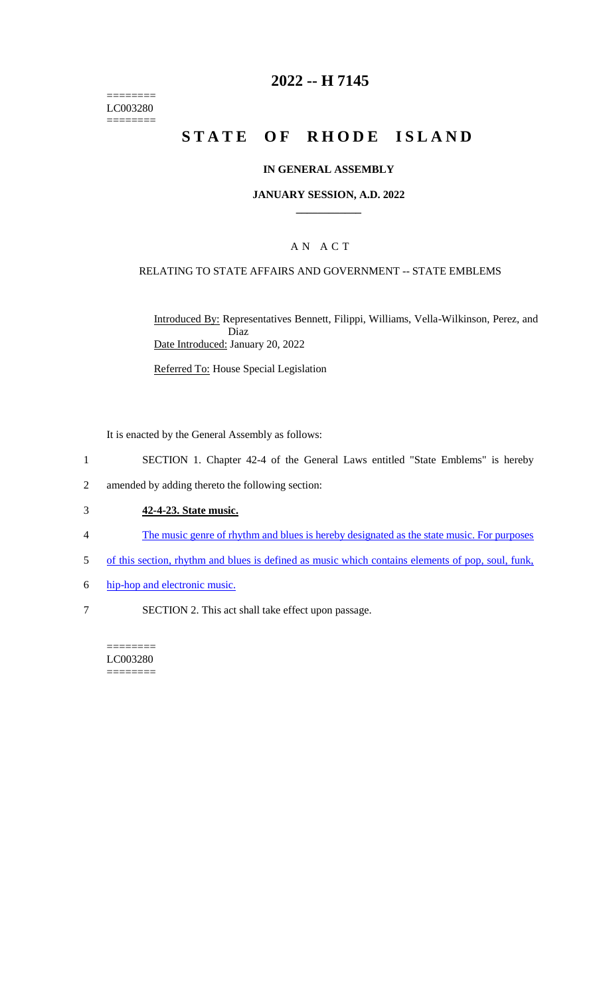======== LC003280  $=$ 

## **2022 -- H 7145**

# **STATE OF RHODE ISLAND**

### **IN GENERAL ASSEMBLY**

#### **JANUARY SESSION, A.D. 2022 \_\_\_\_\_\_\_\_\_\_\_\_**

## A N A C T

### RELATING TO STATE AFFAIRS AND GOVERNMENT -- STATE EMBLEMS

Introduced By: Representatives Bennett, Filippi, Williams, Vella-Wilkinson, Perez, and Diaz Date Introduced: January 20, 2022

Referred To: House Special Legislation

It is enacted by the General Assembly as follows:

- 1 SECTION 1. Chapter 42-4 of the General Laws entitled "State Emblems" is hereby
- 2 amended by adding thereto the following section:

### 3 **42-4-23. State music.**

- 4 The music genre of rhythm and blues is hereby designated as the state music. For purposes
- 5 of this section, rhythm and blues is defined as music which contains elements of pop, soul, funk,
- 6 hip-hop and electronic music.
- 7 SECTION 2. This act shall take effect upon passage.

======== LC003280 ========